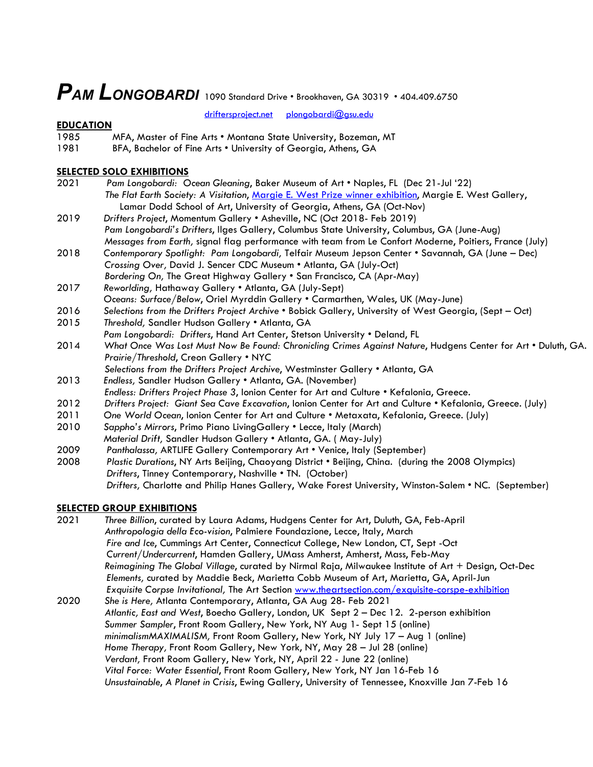# *PAM LONGOBARDI* 1090 Standard Drive • Brookhaven, GA 30319 • 404.409.6750<br>driftersproject.net plongobardi@gsu.edu

 $plonqobardi@gsu.edu$ 

## **EDUCATION**

- 1985 MFA, Master of Fine Arts Montana State University, Bozeman, MT
- 1981 BFA, Bachelor of Fine Arts . University of Georgia, Athens, GA

## **SELECTED SOLO EXHIBITIONS**

- 2021 *Pam Longobardi: Ocean Gleaning*, Baker Museum of Art Naples, FL (Dec 21-Jul '22) *The Flat Earth Society: A Visitation*, Margie E. West Prize winner exhibition, Margie E. West Gallery, Lamar Dodd School of Art, University of Georgia, Athens, GA (Oct-Nov) 2019 *Drifters Project*, Momentum Gallery • Asheville, NC (Oct 2018- Feb 2019) *Pam Longobardi's Drifters*, Ilges Gallery, Columbus State University, Columbus, GA (June-Aug) *Messages from Earth,* signal flag performance with team from Le Confort Moderne, Poitiers, France (July) 2018 *Contemporary Spotlight: Pam Longobardi,* Telfair Museum Jepson Center • Savannah, GA (June – Dec) *Crossing Over,* David J. Sencer CDC Museum • Atlanta, GA (July-Oct) *Bordering On,* The Great Highway Gallery • San Francisco, CA (Apr-May) 2017 *Reworlding,* Hathaway Gallery • Atlanta, GA (July-Sept) *Oceans: Surface/Below*, Oriel Myrddin Gallery • Carmarthen, Wales, UK (May-June) 2016 *Selections from the Drifters Project Archive* • Bobick Gallery, University of West Georgia, (Sept – Oct) 2015 *Threshold,* Sandler Hudson Gallery • Atlanta, GA *Pam Longobardi: Drifters*, Hand Art Center, Stetson University • Deland, FL
- 2014 *What Once Was Lost Must Now Be Found: Chronicling Crimes Against Nature*, Hudgens Center for Art Duluth, GA. *Prairie/Threshold*, Creon Gallery • NYC
	- *Selections from the Drifters Project Archive*, Westminster Gallery Atlanta, GA
- 2013 *Endless,* Sandler Hudson Gallery Atlanta, GA. (November)
- *Endless: Drifters Project Phase 3*, Ionion Center for Art and Culture Kefalonia, Greece.
- 2012 *Drifters Project: Giant Sea Cave Excavation*, Ionion Center for Art and Culture Kefalonia, Greece. (July)
- 2011 *One World Ocean*, Ionion Center for Art and Culture Metaxata, Kefalonia, Greece. (July)
- 2010 *Sappho's Mirrors*, Primo Piano LivingGallery Lecce, Italy (March)  *Material Drift,* Sandler Hudson Gallery • Atlanta, GA. ( May-July)
- 2009 *Panthalassa,* ARTLIFE Gallery Contemporary Art Venice, Italy (September)
- 2008 *Plastic Durations*, NY Arts Beijing, Chaoyang District Beijing, China. (during the 2008 Olympics)  *Drifters*, Tinney Contemporary, Nashville • TN. (October) *Drifters,* Charlotte and Philip Hanes Gallery, Wake Forest University, Winston-Salem • NC. (September)

## **SELECTED GROUP EXHIBITIONS**

- 2021 *Three Billion*, curated by Laura Adams, Hudgens Center for Art, Duluth, GA, Feb-April *Anthropologia della Eco-vision*, Palmiere Foundazione, Lecce, Italy, March *Fire and Ice*, Cummings Art Center, Connecticut College, New London, CT, Sept -Oct *Current/Undercurrent*, Hamden Gallery, UMass Amherst, Amherst, Mass, Feb-May *Reimagining The Global Village*, curated by Nirmal Raja, Milwaukee Institute of Art + Design, Oct-Dec  *Elements,* curated by Maddie Beck, Marietta Cobb Museum of Art, Marietta, GA, April-Jun *Exquisite Corpse Invitational,* The Art Section www.theartsection.com/exquisite-corspe-exhibition 2020 *She is Here,* Atlanta Contemporary, Atlanta, GA Aug 28- Feb 2021
- *Atlantic, East and West*, Boecho Gallery, London, UK Sept 2 Dec 12. 2-person exhibition *Summer Sampler*, Front Room Gallery, New York, NY Aug 1- Sept 15 (online) *minimalismMAXIMALISM,* Front Room Gallery, New York, NY July 17 – Aug 1 (online) *Home Therapy,* Front Room Gallery, New York, NY, May 28 – Jul 28 (online) *Verdant,* Front Room Gallery, New York, NY, April 22 - June 22 (online) *Vital Force: Water Essential*, Front Room Gallery, New York, NY Jan 16-Feb 16 *Unsustainable*, *A Planet in Crisis*, Ewing Gallery, University of Tennessee, Knoxville Jan 7-Feb 16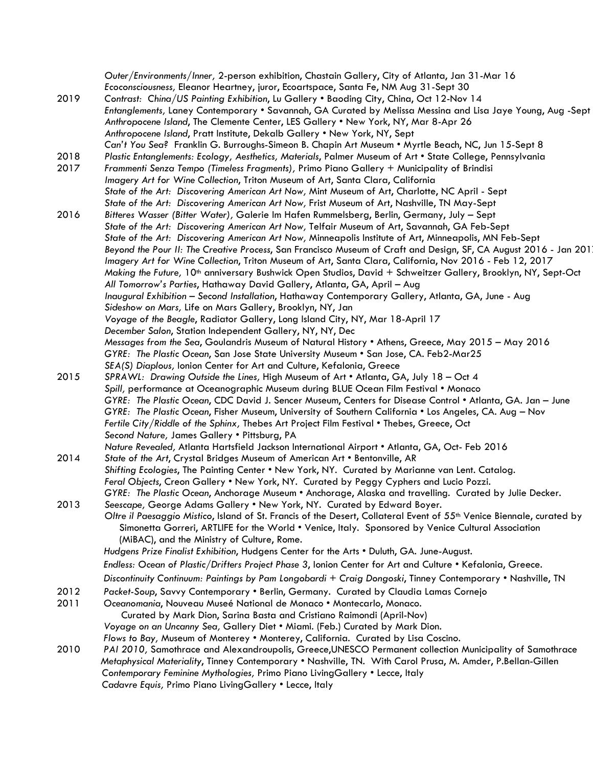| 2019 | Outer/Environments/Inner, 2-person exhibition, Chastain Gallery, City of Atlanta, Jan 31-Mar 16<br>Ecoconsciousness, Eleanor Heartney, juror, Ecoartspace, Santa Fe, NM Aug 31-Sept 30                                                                                                                                                                                   |
|------|--------------------------------------------------------------------------------------------------------------------------------------------------------------------------------------------------------------------------------------------------------------------------------------------------------------------------------------------------------------------------|
|      | Contrast: China/US Painting Exhibition, Lu Gallery . Baoding City, China, Oct 12-Nov 14<br>Entanglements, Laney Contemporary • Savannah, GA Curated by Melissa Messina and Lisa Jaye Young, Aug -Sept<br>Anthropocene Island, The Clemente Center, LES Gallery . New York, NY, Mar 8-Apr 26<br>Anthropocene Island, Pratt Institute, Dekalb Gallery . New York, NY, Sept |
|      | Can't You Sea? Franklin G. Burroughs-Simeon B. Chapin Art Museum • Myrtle Beach, NC, Jun 15-Sept 8                                                                                                                                                                                                                                                                       |
| 2018 | Plastic Entanglements: Ecology, Aesthetics, Materials, Palmer Museum of Art • State College, Pennsylvania                                                                                                                                                                                                                                                                |
| 2017 | Frammenti Senza Tempo (Timeless Fragments), Primo Piano Gallery + Municipality of Brindisi                                                                                                                                                                                                                                                                               |
|      | Imagery Art for Wine Collection, Triton Museum of Art, Santa Clara, California                                                                                                                                                                                                                                                                                           |
|      | State of the Art: Discovering American Art Now, Mint Museum of Art, Charlotte, NC April - Sept                                                                                                                                                                                                                                                                           |
|      | State of the Art: Discovering American Art Now, Frist Museum of Art, Nashville, TN May-Sept                                                                                                                                                                                                                                                                              |
| 2016 | Bitteres Wasser (Bitter Water), Galerie Im Hafen Rummelsberg, Berlin, Germany, July - Sept                                                                                                                                                                                                                                                                               |
|      | State of the Art: Discovering American Art Now, Telfair Museum of Art, Savannah, GA Feb-Sept                                                                                                                                                                                                                                                                             |
|      | State of the Art: Discovering American Art Now, Minneapolis Institute of Art, Minneapolis, MN Feb-Sept                                                                                                                                                                                                                                                                   |
|      | Beyond the Pour II: The Creative Process, San Francisco Museum of Craft and Design, SF, CA August 2016 - Jan 201                                                                                                                                                                                                                                                         |
|      | Imagery Art for Wine Collection, Triton Museum of Art, Santa Clara, California, Nov 2016 - Feb 12, 2017                                                                                                                                                                                                                                                                  |
|      | Making the Future, 10 <sup>th</sup> anniversary Bushwick Open Studios, David + Schweitzer Gallery, Brooklyn, NY, Sept-Oct                                                                                                                                                                                                                                                |
|      | All Tomorrow's Parties, Hathaway David Gallery, Atlanta, GA, April - Aug                                                                                                                                                                                                                                                                                                 |
|      | Inaugural Exhibition - Second Installation, Hathaway Contemporary Gallery, Atlanta, GA, June - Aug                                                                                                                                                                                                                                                                       |
|      | Sideshow on Mars, Life on Mars Gallery, Brooklyn, NY, Jan                                                                                                                                                                                                                                                                                                                |
|      | Voyage of the Beagle, Radiator Gallery, Long Island City, NY, Mar 18-April 17                                                                                                                                                                                                                                                                                            |
|      | December Salon, Station Independent Gallery, NY, NY, Dec                                                                                                                                                                                                                                                                                                                 |
|      | Messages from the Sea, Goulandris Museum of Natural History . Athens, Greece, May 2015 - May 2016                                                                                                                                                                                                                                                                        |
|      | GYRE: The Plastic Ocean, San Jose State University Museum . San Jose, CA. Feb2-Mar25                                                                                                                                                                                                                                                                                     |
| 2015 | SEA(S) Diaplous, Ionion Center for Art and Culture, Kefalonia, Greece                                                                                                                                                                                                                                                                                                    |
|      | SPRAWL: Drawing Outside the Lines, High Museum of Art • Atlanta, GA, July 18 - Oct 4                                                                                                                                                                                                                                                                                     |
|      | Spill, performance at Oceanographic Museum during BLUE Ocean Film Festival • Monaco<br>GYRE: The Plastic Ocean, CDC David J. Sencer Museum, Centers for Disease Control • Atlanta, GA. Jan - June                                                                                                                                                                        |
|      | GYRE: The Plastic Ocean, Fisher Museum, University of Southern California • Los Angeles, CA. Aug - Nov                                                                                                                                                                                                                                                                   |
|      | Fertile City/Riddle of the Sphinx, Thebes Art Project Film Festival • Thebes, Greece, Oct                                                                                                                                                                                                                                                                                |
|      | Second Nature, James Gallery . Pittsburg, PA                                                                                                                                                                                                                                                                                                                             |
|      | Nature Revealed, Atlanta Hartsfield Jackson International Airport • Atlanta, GA, Oct- Feb 2016                                                                                                                                                                                                                                                                           |
| 2014 | State of the Art, Crystal Bridges Museum of American Art . Bentonville, AR                                                                                                                                                                                                                                                                                               |
|      | Shifting Ecologies, The Painting Center • New York, NY. Curated by Marianne van Lent. Catalog.                                                                                                                                                                                                                                                                           |
|      | Feral Objects, Creon Gallery . New York, NY. Curated by Peggy Cyphers and Lucio Pozzi.                                                                                                                                                                                                                                                                                   |
|      | GYRE: The Plastic Ocean, Anchorage Museum • Anchorage, Alaska and travelling. Curated by Julie Decker.                                                                                                                                                                                                                                                                   |
| 2013 | Seescape, George Adams Gallery . New York, NY. Curated by Edward Boyer.                                                                                                                                                                                                                                                                                                  |
|      | Oltre il Paesaggio Mistico, Island of St. Francis of the Desert, Collateral Event of 55 <sup>th</sup> Venice Biennale, curated by                                                                                                                                                                                                                                        |
|      | Simonetta Gorreri, ARTLIFE for the World • Venice, Italy. Sponsored by Venice Cultural Association                                                                                                                                                                                                                                                                       |
|      | (MiBAC), and the Ministry of Culture, Rome.                                                                                                                                                                                                                                                                                                                              |
|      | Hudgens Prize Finalist Exhibition, Hudgens Center for the Arts . Duluth, GA. June-August.                                                                                                                                                                                                                                                                                |
|      | Endless: Ocean of Plastic/Drifters Project Phase 3, Ionion Center for Art and Culture . Kefalonia, Greece.                                                                                                                                                                                                                                                               |
|      | Discontinuity Continuum: Paintings by Pam Longobardi + Craig Dongoski, Tinney Contemporary . Nashville, TN                                                                                                                                                                                                                                                               |
| 2012 | Packet-Soup, Savvy Contemporary . Berlin, Germany. Curated by Claudia Lamas Cornejo                                                                                                                                                                                                                                                                                      |
| 2011 | Oceanomania, Nouveau Museé National de Monaco • Montecarlo, Monaco.                                                                                                                                                                                                                                                                                                      |
|      | Curated by Mark Dion, Sarina Basta and Cristiano Raimondi (April-Nov)                                                                                                                                                                                                                                                                                                    |
|      | Voyage on an Uncanny Sea, Gallery Diet . Miami. (Feb.) Curated by Mark Dion.                                                                                                                                                                                                                                                                                             |
|      | Flows to Bay, Museum of Monterey . Monterey, California. Curated by Lisa Coscino.                                                                                                                                                                                                                                                                                        |
| 2010 | PAI 2010, Samothrace and Alexandroupolis, Greece, UNESCO Permanent collection Municipality of Samothrace                                                                                                                                                                                                                                                                 |
|      | Metaphysical Materiality, Tinney Contemporary • Nashville, TN. With Carol Prusa, M. Amder, P.Bellan-Gillen                                                                                                                                                                                                                                                               |
|      | Contemporary Feminine Mythologies, Primo Piano LivingGallery . Lecce, Italy                                                                                                                                                                                                                                                                                              |
|      | Cadavre Equis, Primo Piano LivingGallery . Lecce, Italy                                                                                                                                                                                                                                                                                                                  |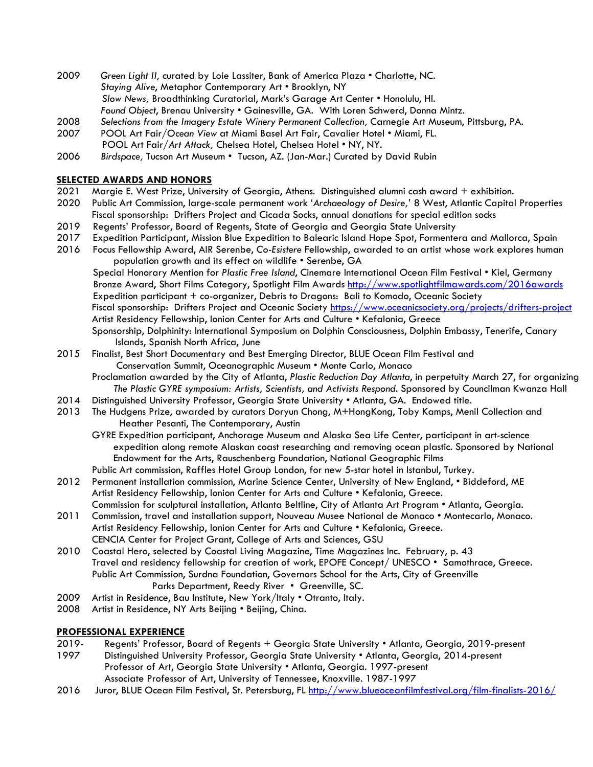- 2009 *Green Light II,* curated by Loie Lassiter, Bank of America Plaza Charlotte, NC. *Staying Alive*, Metaphor Contemporary Art • Brooklyn, NY *Slow News,* Broadthinking Curatorial, Mark's Garage Art Center • Honolulu, HI. *Found Object*, Brenau University • Gainesville, GA. With Loren Schwerd, Donna Mintz.
- 2008 *Selections from the Imagery Estate Winery Permanent Collection,* Carnegie Art Museum, Pittsburg, PA.
- 2007 POOL Art Fair/*Ocean View* at Miami Basel Art Fair, Cavalier Hotel Miami, FL.
	- POOL Art Fair/*Art Attack,* Chelsea Hotel, Chelsea Hotel NY, NY.
- 2006 *Birdspace,* Tucson Art Museum Tucson, AZ. (Jan-Mar.) Curated by David Rubin

#### **SELECTED AWARDS AND HONORS**

- 2021 Margie E. West Prize, University of Georgia, Athens. Distinguished alumni cash award + exhibition.
- 2020 Public Art Commission, large-scale permanent work '*Archaeology of Desire,'* 8 West, Atlantic Capital Properties Fiscal sponsorship: Drifters Project and Cicada Socks, annual donations for special edition socks
- 2019 Regents' Professor, Board of Regents, State of Georgia and Georgia State University
- 2017 Expedition Participant, Mission Blue Expedition to Balearic Island Hope Spot, Formentera and Mallorca, Spain
- 2016 Focus Fellowship Award, AIR Serenbe, *Co-Esistere* Fellowship, awarded to an artist whose work explores human population growth and its effect on wildlife • Serenbe, GA

 Special Honorary Mention for *Plastic Free Island*, Cinemare International Ocean Film Festival • Kiel, Germany Bronze Award, Short Films Category, Spotlight Film Awards http://www.spotlightfilmawards.com/2016awards Expedition participant + co-organizer, Debris to Dragons: Bali to Komodo, Oceanic Society Fiscal sponsorship: Drifters Project and Oceanic Society https://www.oceanicsociety.org/projects/drifters-project Artist Residency Fellowship, Ionion Center for Arts and Culture • Kefalonia, Greece Sponsorship, Dolphinity: International Symposium on Dolphin Consciousness, Dolphin Embassy, Tenerife, Canary Islands, Spanish North Africa, June

2015 Finalist, Best Short Documentary and Best Emerging Director, BLUE Ocean Film Festival and Conservation Summit, Oceanographic Museum • Monte Carlo, Monaco

 Proclamation awarded by the City of Atlanta, *Plastic Reduction Day Atlanta*, in perpetuity March 27, for organizing *The Plastic GYRE symposium: Artists, Scientists, and Activists Respond*. Sponsored by Councilman Kwanza Hall

- 2014 Distinguished University Professor, Georgia State University Atlanta, GA. Endowed title.
- 2013 The Hudgens Prize, awarded by curators Doryun Chong, M+HongKong, Toby Kamps, Menil Collection and Heather Pesanti, The Contemporary, Austin
	- GYRE Expedition participant, Anchorage Museum and Alaska Sea Life Center, participant in art-science expedition along remote Alaskan coast researching and removing ocean plastic. Sponsored by National Endowment for the Arts, Rauschenberg Foundation, National Geographic Films
	- Public Art commission, Raffles Hotel Group London, for new 5-star hotel in Istanbul, Turkey.
- 2012 Permanent installation commission, Marine Science Center, University of New England, Biddeford, ME Artist Residency Fellowship, Ionion Center for Arts and Culture • Kefalonia, Greece. Commission for sculptural installation, Atlanta Beltline, City of Atlanta Art Program • Atlanta, Georgia.
- 2011 Commission, travel and installation support, Nouveau Musee National de Monaco Montecarlo, Monaco. Artist Residency Fellowship, Ionion Center for Arts and Culture • Kefalonia, Greece. CENCIA Center for Project Grant, College of Arts and Sciences, GSU
- 2010 Coastal Hero, selected by Coastal Living Magazine, Time Magazines Inc. February, p. 43 Travel and residency fellowship for creation of work, EPOFE Concept/ UNESCO • Samothrace, Greece. Public Art Commission, Surdna Foundation, Governors School for the Arts, City of Greenville Parks Department, Reedy River • Greenville, SC.
- 2009 Artist in Residence, Bau Institute, New York/Italy . Otranto, Italy.
- 2008 Artist in Residence, NY Arts Beijing Beijing, China.

#### **PROFESSIONAL EXPERIENCE**

- 2019- Regents' Professor, Board of Regents + Georgia State University Atlanta, Georgia, 2019-present
- 1997 Distinguished University Professor, Georgia State University Atlanta, Georgia, 2014-present Professor of Art, Georgia State University • Atlanta, Georgia. 1997-present Associate Professor of Art, University of Tennessee, Knoxville. 1987-1997
- 2016 Juror, BLUE Ocean Film Festival, St. Petersburg, FL http://www.blueoceanfilmfestival.org/film-finalists-2016/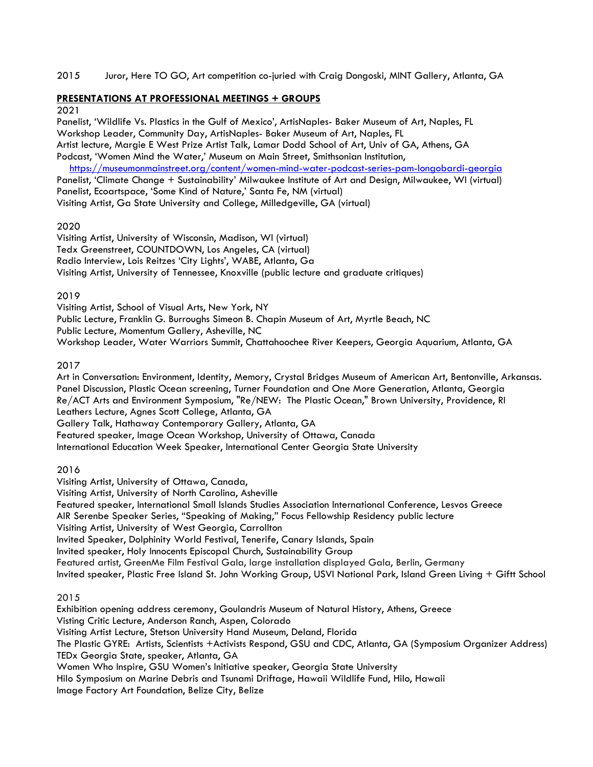## 2015 Juror, Here TO GO, Art competition co-juried with Craig Dongoski, MINT Gallery, Atlanta, GA

## **PRESENTATIONS AT PROFESSIONAL MEETINGS + GROUPS**

#### 2021

Panelist, 'Wildlife Vs. Plastics in the Gulf of Mexico', ArtisNaples- Baker Museum of Art, Naples, FL Workshop Leader, Community Day, ArtisNaples- Baker Museum of Art, Naples, FL Artist lecture, Margie E West Prize Artist Talk, Lamar Dodd School of Art, Univ of GA, Athens, GA Podcast, 'Women Mind the Water,' Museum on Main Street, Smithsonian Institution,

https://museumonmainstreet.org/content/women-mind-water-podcast-series-pam-longobardi-georgia Panelist, 'Climate Change + Sustainability' Milwaukee Institute of Art and Design, Milwaukee, WI (virtual) Panelist, Ecoartspace, 'Some Kind of Nature,' Santa Fe, NM (virtual) Visiting Artist, Ga State University and College, Milledgeville, GA (virtual)

## 2020

Visiting Artist, University of Wisconsin, Madison, WI (virtual) Tedx Greenstreet, COUNTDOWN, Los Angeles, CA (virtual) Radio Interview, Lois Reitzes 'City Lights', WABE, Atlanta, Ga Visiting Artist, University of Tennessee, Knoxville (public lecture and graduate critiques)

## 2019

Visiting Artist, School of Visual Arts, New York, NY Public Lecture, Franklin G. Burroughs Simeon B. Chapin Museum of Art, Myrtle Beach, NC Public Lecture, Momentum Gallery, Asheville, NC Workshop Leader, Water Warriors Summit, Chattahoochee River Keepers, Georgia Aquarium, Atlanta, GA

## 2017

Art in Conversation: Environment, Identity, Memory, Crystal Bridges Museum of American Art, Bentonville, Arkansas. Panel Discussion, Plastic Ocean screening, Turner Foundation and One More Generation, Atlanta, Georgia Re/ACT Arts and Environment Symposium, "Re/NEW: The Plastic Ocean," Brown University, Providence, RI Leathers Lecture, Agnes Scott College, Atlanta, GA

Gallery Talk, Hathaway Contemporary Gallery, Atlanta, GA

Featured speaker, Image Ocean Workshop, University of Ottawa, Canada

International Education Week Speaker, International Center Georgia State University

## 2016

Visiting Artist, University of Ottawa, Canada,

Visiting Artist, University of North Carolina, Asheville

Featured speaker, International Small Islands Studies Association International Conference, Lesvos Greece

AIR Serenbe Speaker Series, "Speaking of Making," Focus Fellowship Residency public lecture

Visiting Artist, University of West Georgia, Carrollton

Invited Speaker, Dolphinity World Festival, Tenerife, Canary Islands, Spain

Invited speaker, Holy Innocents Episcopal Church, Sustainability Group

Featured artist, GreenMe Film Festival Gala, large installation displayed Gala, Berlin, Germany

Invited speaker, Plastic Free Island St. John Working Group, USVI National Park, Island Green Living + Giftt School

## 2015

Exhibition opening address ceremony, Goulandris Museum of Natural History, Athens, Greece Visting Critic Lecture, Anderson Ranch, Aspen, Colorado Visiting Artist Lecture, Stetson University Hand Museum, Deland, Florida The Plastic GYRE: Artists, Scientists +Activists Respond, GSU and CDC, Atlanta, GA (Symposium Organizer Address) TEDx Georgia State, speaker, Atlanta, GA Women Who Inspire, GSU Women's Initiative speaker, Georgia State University Hilo Symposium on Marine Debris and Tsunami Driftage, Hawaii Wildlife Fund, Hilo, Hawaii Image Factory Art Foundation, Belize City, Belize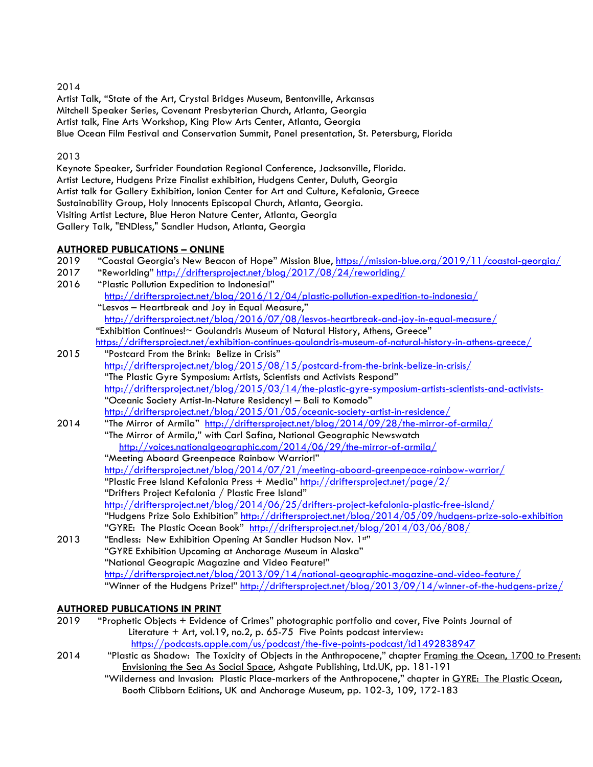## 2014

Artist Talk, "State of the Art, Crystal Bridges Museum, Bentonville, Arkansas Mitchell Speaker Series, Covenant Presbyterian Church, Atlanta, Georgia Artist talk, Fine Arts Workshop, King Plow Arts Center, Atlanta, Georgia Blue Ocean Film Festival and Conservation Summit, Panel presentation, St. Petersburg, Florida

## 2013

Keynote Speaker, Surfrider Foundation Regional Conference, Jacksonville, Florida. Artist Lecture, Hudgens Prize Finalist exhibition, Hudgens Center, Duluth, Georgia Artist talk for Gallery Exhibition, Ionion Center for Art and Culture, Kefalonia, Greece Sustainability Group, Holy Innocents Episcopal Church, Atlanta, Georgia. Visiting Artist Lecture, Blue Heron Nature Center, Atlanta, Georgia Gallery Talk, "ENDless," Sandler Hudson, Atlanta, Georgia

## **AUTHORED PUBLICATIONS – ONLINE**

| 2019 | "Coastal Georgia's New Beacon of Hope" Mission Blue, https://mission-blue.org/2019/11/coastal-georgia/   |
|------|----------------------------------------------------------------------------------------------------------|
| 2017 | "Reworlding" http://driftersproject.net/blog/2017/08/24/reworlding/                                      |
| 2016 | "Plastic Pollution Expedition to Indonesia!"                                                             |
|      | http://driftersproject.net/blog/2016/12/04/plastic-pollution-expedition-to-indonesia/                    |
|      | "Lesvos - Heartbreak and Joy in Equal Measure,"                                                          |
|      | http://driftersproject.net/blog/2016/07/08/lesvos-heartbreak-and-joy-in-equal-measure/                   |
|      | "Exhibition Continues!~ Goulandris Museum of Natural History, Athens, Greece"                            |
|      | https://driftersproject.net/exhibition-continues-goulandris-museum-of-natural-history-in-athens-greece/  |
| 2015 | "Postcard From the Brink: Belize in Crisis"                                                              |
|      | http://driftersproject.net/blog/2015/08/15/postcard-from-the-brink-belize-in-crisis/                     |
|      | "The Plastic Gyre Symposium: Artists, Scientists and Activists Respond"                                  |
|      | http://driftersproject.net/blog/2015/03/14/the-plastic-gyre-symposium-artists-scientists-and-activists-  |
|      | "Oceanic Society Artist-In-Nature Residency! - Bali to Komodo"                                           |
|      | http://driftersproject.net/blog/2015/01/05/oceanic-society-artist-in-residence/                          |
| 2014 | "The Mirror of Armila" http://driftersproject.net/blog/2014/09/28/the-mirror-of-armila/                  |
|      | "The Mirror of Armila," with Carl Safina, National Geographic Newswatch                                  |
|      | http://voices.nationalgeographic.com/2014/06/29/the-mirror-of-armila/                                    |
|      | "Meeting Aboard Greenpeace Rainbow Warrior!"                                                             |
|      | http://driftersproject.net/blog/2014/07/21/meeting-aboard-greenpeace-rainbow-warrior/                    |
|      | "Plastic Free Island Kefalonia Press + Media" http://driftersproject.net/page/2/                         |
|      | "Drifters Project Kefalonia / Plastic Free Island"                                                       |
|      | http://driftersproject.net/blog/2014/06/25/drifters-project-kefalonia-plastic-free-island/               |
|      | "Hudgens Prize Solo Exhibition" http://driftersproject.net/blog/2014/05/09/hudgens-prize-solo-exhibition |
|      | "GYRE: The Plastic Ocean Book" http://driftersproject.net/blog/2014/03/06/808/                           |
| 2013 | "Endless: New Exhibition Opening At Sandler Hudson Nov. 1st"                                             |
|      | "GYRE Exhibition Upcoming at Anchorage Museum in Alaska"                                                 |
|      | "National Geograpic Magazine and Video Feature!"                                                         |
|      | http://driftersproject.net/blog/2013/09/14/national-geographic-magazine-and-video-feature/               |
|      |                                                                                                          |

## "Winner of the Hudgens Prize!" http://driftersproject.net/blog/2013/09/14/winner-of-the-hudgens-prize/

## **AUTHORED PUBLICATIONS IN PRINT**

- 2019 "Prophetic Objects + Evidence of Crimes" photographic portfolio and cover, Five Points Journal of Literature + Art, vol.19, no.2, p. 65-75 Five Points podcast interview: https://podcasts.apple.com/us/podcast/the-five-points-podcast/id1492838947<br>2014 "Plastic as Shadow: The Toxicity of Objects in the Anthropocene." chapter Framina the
- "Plastic as Shadow: The Toxicity of Objects in the Anthropocene," chapter Framing the Ocean, 1700 to Present: Envisioning the Sea As Social Space, Ashgate Publishing, Ltd.UK, pp. 181-191
	- "Wilderness and Invasion: Plastic Place-markers of the Anthropocene," chapter in GYRE: The Plastic Ocean, Booth Clibborn Editions, UK and Anchorage Museum, pp. 102-3, 109, 172-183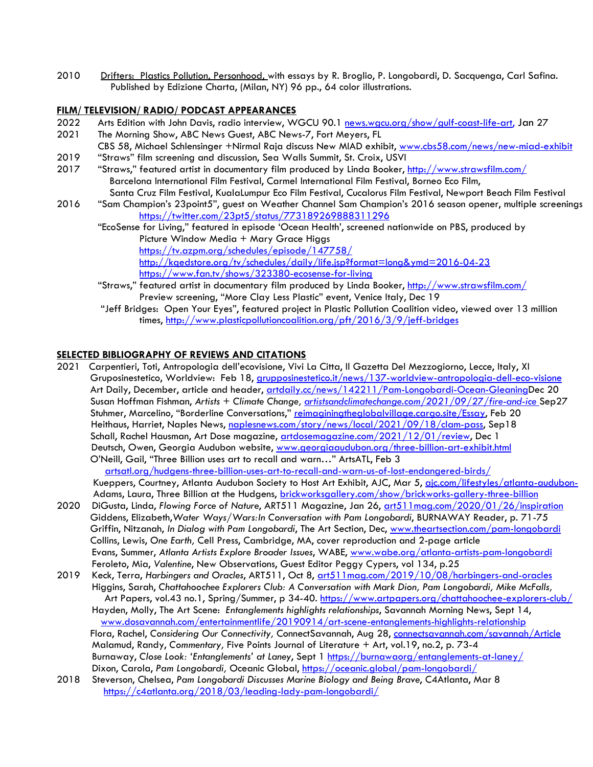2010 Drifters: Plastics Pollution, Personhood, with essays by R. Broglio, P. Longobardi, D. Sacquenga, Carl Safina. Published by Edizione Charta, (Milan, NY) 96 pp., 64 color illustrations.

#### **FILM/ TELEVISION/ RADIO/ PODCAST APPEARANCES**

- 2022 Arts Edition with John Davis, radio interview, WGCU 90.1 news.wgcu.org/show/gulf-coast-life-art, Jan 27
- 2021 The Morning Show, ABC News Guest, ABC News-7, Fort Meyers, FL
- CBS 58, Michael Schlensinger +Nirmal Raja discuss New MIAD exhibit, www.cbs58.com/news/new-miad-exhibit
- 2019 "Straws" film screening and discussion, Sea Walls Summit, St. Croix, USVI
- 2017 "Straws," featured artist in documentary film produced by Linda Booker, http://www.strawsfilm.com/ Barcelona International Film Festival, Carmel International Film Festival, Borneo Eco Film, Santa Cruz Film Festival, KualaLumpur Eco Film Festival, Cucalorus Film Festival, Newport Beach Film Festival
- 2016 "Sam Champion's 23point5", guest on Weather Channel Sam Champion's 2016 season opener, multiple screenings https://twitter.com/23pt5/status/773189269888311296
	- "EcoSense for Living," featured in episode 'Ocean Health', screened nationwide on PBS, produced by Picture Window Media + Mary Grace Higgs https://tv.azpm.org/schedules/episode/147758/

http://kqedstore.org/tv/schedules/daily/life.jsp?format=long&ymd=2016-04-23 https://www.fan.tv/shows/323380-ecosense-for-living

- "Straws," featured artist in documentary film produced by Linda Booker, http://www.strawsfilm.com/ Preview screening, "More Clay Less Plastic" event, Venice Italy, Dec 19
- "Jeff Bridges: Open Your Eyes", featured project in Plastic Pollution Coalition video, viewed over 13 million times, http://www.plasticpollutioncoalition.org/pft/2016/3/9/jeff-bridges

#### **SELECTED BIBLIOGRAPHY OF REVIEWS AND CITATIONS**

2021 Carpentieri, Toti, Antropologia dell'ecovisione, Vivi La Citta, Il Gazetta Del Mezzogiorno, Lecce, Italy, XI Gruposinestetico, Worldview: Feb 18, grupposinestetico.it/news/137-worldview-antropologia-dell-eco-visione Art Daily, December, article and header, artdaily.cc/news/142211/Pam-Longobardi-Ocean-GleaningDec 20 Susan Hoffman Fishman, *Artists + Climate Change, artistsandclimatechange.com/2021/09/27/fire-and-ice* Sep27 Stuhmer, Marcelino, "Borderline Conversations," reimaginingtheglobalvillage.cargo.site/Essay, Feb 20 Heithaus, Harriet, Naples News, naplesnews.com/story/news/local/2021/09/18/clam-pass, Sep18 Schall, Rachel Hausman, Art Dose magazine, artdosemagazine.com/2021/12/01/review, Dec 1 Deutsch, Owen, Georgia Audubon website, www.georgiaaudubon.org/three-billion-art-exhibit.html O'Neill, Gail, "Three Billion uses art to recall and warn…" ArtsATL, Feb 3 artsatl.org/hudgens-three-billion-uses-art-to-recall-and-warn-us-of-lost-endangered-birds/ Kueppers, Courtney, Atlanta Audubon Society to Host Art Exhibit, AJC, Mar 5, ajc.com/lifestyles/atlanta-audubon-

Adams, Laura, Three Billion at the Hudgens, brickworksgallery.com/show/brickworks-gallery-three-billion 2020 DiGusta, Linda, *Flowing Force of Nature*, ART511 Magazine, Jan 26, art511mag.com/2020/01/26/inspiration Giddens, Elizabeth,*Water Ways/Wars:In Conversation with Pam Longobardi*, BURNAWAY Reader, p. 71-75

- Griffin, Nitzanah, *In Dialog with Pam Longobardi*, The Art Section, Dec, www.theartsection.com/pam-longobardi Collins, Lewis, *One Earth,* Cell Press, Cambridge, MA, cover reproduction and 2-page article Evans, Summer, *Atlanta Artists Explore Broader Issues*, WABE, www.wabe.org/atlanta-artists-pam-longobardi Feroleto, Mia, *Valentine*, New Observations, Guest Editor Peggy Cypers, vol 134, p.25
- 2019 Keck, Terra, *Harbingers and Oracles*, ART511, Oct 8, art511mag.com/2019/10/08/harbingers-and-oracles Higgins, Sarah, *Chattahoochee Explorers Club: A Conversation with Mark Dion, Pam Longobardi, Mike McFalls,* Art Papers, vol.43 no.1, Spring/Summer, p 34-40. https://www.artpapers.org/chattahoochee-explorers-club/ Hayden, Molly, The Art Scene: *Entanglements highlights relationships*, Savannah Morning News, Sept 14, www.dosavannah.com/entertainmentlife/20190914/art-scene-entanglements-highlights-relationship Flora, Rachel, *Considering Our Connectivity,* ConnectSavannah, Aug 28, connectsavannah.com/savannah/Article Malamud, Randy, *Commentary,* Five Points Journal of Literature + Art, vol.19, no.2, p. 73-4 Burnaway, *Close Look: 'Entanglements' at Laney*, Sept 1 https://burnawaorg/entanglements-at-laney/ Dixon, Carola, *Pam Longobardi,* Oceanic Global, https://oceanic.global/pam-longobardi/
- 2018 Steverson, Chelsea, *Pam Longobardi Discusses Marine Biology and Being Brave*, C4Atlanta, Mar 8 https://c4atlanta.org/2018/03/leading-lady-pam-longobardi/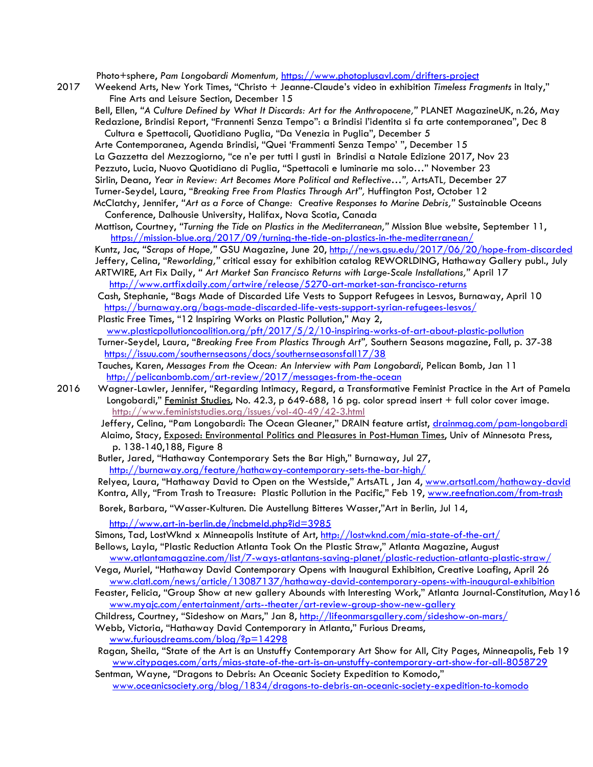Photo+sphere, *Pam Longobardi Momentum,* https://www.photoplusavl.com/drifters-project

2017 Weekend Arts, New York Times, "Christo + Jeanne-Claude's video in exhibition *Timeless Fragments* in Italy," Fine Arts and Leisure Section, December 15

 Bell, Ellen, *"A Culture Defined by What It Discards: Art for the Anthropocene,"* PLANET MagazineUK, n.26, May Redazione, Brindisi Report, "Frannenti Senza Tempo": a Brindisi l'identita si fa arte contemporanea", Dec 8 Cultura e Spettacoli, Quotidiano Puglia, "Da Venezia in Puglia", December 5

 Arte Contemporanea, Agenda Brindisi, "Quei 'Frammenti Senza Tempo' ", December 15 La Gazzetta del Mezzogiorno, "ce n'e per tutti I gusti in Brindisi a Natale Edizione 2017, Nov 23 Pezzuto, Lucia, Nuovo Quotidiano di Puglia, "Spettacoli e luminarie ma solo…" November 23 Sirlin, Deana, *Year in Review: Art Becomes More Political and Reflective…",* ArtsATL*,* December 27 Turner-Seydel, Laura, "*Breaking Free From Plastics Through Art",* Huffington Post, October 12 McClatchy, Jennifer, *"Art as a Force of Change: Creative Responses to Marine Debris,"* Sustainable Oceans

 Conference, Dalhousie University, Halifax, Nova Scotia, Canada Mattison, Courtney, *"Turning the Tide on Plastics in the Mediterranean,"* Mission Blue website, September 11,

 https://mission-blue.org/2017/09/turning-the-tide-on-plastics-in-the-mediterranean/ Kuntz, Jac, *"Scraps of Hope,"* GSU Magazine, June 20, http://news.gsu.edu/2017/06/20/hope-from-discarded Jeffery, Celina, "*Reworlding,"* critical essay for exhibition catalog REWORLDING, Hathaway Gallery publ., July

 ARTWIRE, Art Fix Daily, *" Art Market San Francisco Returns with Large-Scale Installations,"* April 17 http://www.artfixdaily.com/artwire/release/5270-art-market-san-francisco-returns

 Cash, Stephanie, "Bags Made of Discarded Life Vests to Support Refugees in Lesvos, Burnaway, April 10 https://burnaway.org/bags-made-discarded-life-vests-support-syrian-refugees-lesvos/ Plastic Free Times, "12 Inspiring Works on Plastic Pollution," May 2,

 www.plasticpollutioncoalition.org/pft/2017/5/2/10-inspiring-works-of-art-about-plastic-pollution Turner-Seydel, Laura, "*Breaking Free From Plastics Through Art",* Southern Seasons magazine, Fall, p. 37-38 https://issuu.com/southernseasons/docs/southernseasonsfall17/38

- Tauches, Karen, *Messages From the Ocean: An Interview with Pam Longobardi*, Pelican Bomb, Jan 11 http://pelicanbomb.com/art-review/2017/messages-from-the-ocean
- 2016 Wagner-Lawler, Jennifer, "Regarding Intimacy, Regard, a Transformative Feminist Practice in the Art of Pamela Longobardi," Feminist Studies, No. 42.3, p 649-688, 16 pg. color spread insert + full color cover image. http://www.feministstudies.org/issues/vol-40-49/42-3.html

Jeffery, Celina, "Pam Longobardi: The Ocean Gleaner," DRAIN feature artist, <u>drainmag.com/pam-longobardi</u> Alaimo, Stacy, <u>Exposed: Environmental Politics and Pleasures in Post-Human Times</u>, Univ of Minnesota Press, p. 138-140,188, Figure 8

 Butler, Jared, "Hathaway Contemporary Sets the Bar High," Burnaway, Jul 27, http://burnaway.org/feature/hathaway-contemporary-sets-the-bar-high/

Relyea, Laura, "Hathaway David to Open on the Westside," ArtsATL, Jan 4, www.artsatl.com/hathaway-david Kontra, Ally, "From Trash to Treasure: Plastic Pollution in the Pacific," Feb 19, www.reefnation.com/from-trash

Borek, Barbara, "Wasser-Kulturen. Die Austellung Bitteres Wasser,"Art in Berlin, Jul 14,

http://www.art-in-berlin.de/incbmeld.php?id=3985

Simons, Tad, LostWknd x Minneapolis Institute of Art, http://lostwknd.com/mia-state-of-the-art/

 Bellows, Layla, "Plastic Reduction Atlanta Took On the Plastic Straw," Atlanta Magazine, August www.atlantamagazine.com/list/7-ways-atlantans-saving-planet/plastic-reduction-atlanta-plastic-straw/

- Vega, Muriel, "Hathaway David Contemporary Opens with Inaugural Exhibition, Creative Loafing, April 26 www.clatl.com/news/article/13087137/hathaway-david-contemporary-opens-with-inaugural-exhibition
- Feaster, Felicia, "Group Show at new gallery Abounds with Interesting Work," Atlanta Journal-Constitution, May16 www.myajc.com/entertainment/arts--theater/art-review-group-show-new-gallery

Childress, Courtney, "Sideshow on Mars," Jan 8, http://lifeonmarsgallery.com/sideshow-on-mars/

Webb, Victoria, "Hathaway David Contemporary in Atlanta," Furious Dreams,

www.furiousdreams.com/blog/?p=14298

- Ragan, Sheila, "State of the Art is an Unstuffy Contemporary Art Show for All, City Pages, Minneapolis, Feb 19 www.citypages.com/arts/mias-state-of-the-art-is-an-unstuffy-contemporary-art-show-for-all-8058729
- Sentman, Wayne, "Dragons to Debris: An Oceanic Society Expedition to Komodo," www.oceanicsociety.org/blog/1834/dragons-to-debris-an-oceanic-society-expedition-to-komodo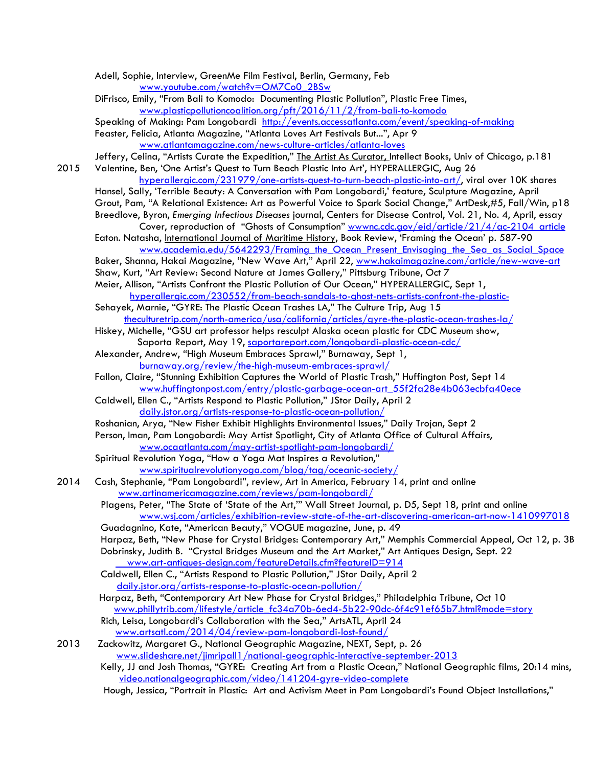|      | Adell, Sophie, Interview, GreenMe Film Festival, Berlin, Germany, Feb                                             |
|------|-------------------------------------------------------------------------------------------------------------------|
|      | www.youtube.com/watch?v=OM7Co0_2BSw                                                                               |
|      | DiFrisco, Emily, "From Bali to Komodo: Documenting Plastic Pollution", Plastic Free Times,                        |
|      | www.plasticpollutioncoalition.org/pft/2016/11/2/from-bali-to-komodo                                               |
|      | Speaking of Making: Pam Longobardi http://events.accessatlanta.com/event/speaking-of-making                       |
|      | Feaster, Felicia, Atlanta Magazine, "Atlanta Loves Art Festivals But", Apr 9                                      |
|      |                                                                                                                   |
|      | www.atlantamagazine.com/news-culture-articles/atlanta-loves                                                       |
|      | Jeffery, Celina, "Artists Curate the Expedition," The Artist As Curator, Intellect Books, Univ of Chicago, p.181  |
| 2015 | Valentine, Ben, 'One Artist's Quest to Turn Beach Plastic Into Art', HYPERALLERGIC, Aug 26                        |
|      | hyperallergic.com/231979/one-artists-quest-to-turn-beach-plastic-into-art/, viral over 10K shares                 |
|      | Hansel, Sally, 'Terrible Beauty: A Conversation with Pam Longobardi,' feature, Sculpture Magazine, April          |
|      | Grout, Pam, "A Relational Existence: Art as Powerful Voice to Spark Social Change," ArtDesk,#5, Fall/Win, p18     |
|      | Breedlove, Byron, Emerging Infectious Diseases journal, Centers for Disease Control, Vol. 21, No. 4, April, essay |
|      | Cover, reproduction of "Ghosts of Consumption" wwwnc.cdc.gov/eid/article/21/4/ac-2104 article                     |
|      | Eaton. Natasha, <i>International Journal of Maritime History</i> , Book Review, 'Framing the Ocean' p. 587-90     |
|      | www.academia.edu/5642293/Framing the Ocean Present Envisaging the Sea as Social Space                             |
|      | Baker, Shanna, Hakai Magazine, "New Wave Art," April 22, www.hakaimagazine.com/article/new-wave-art               |
|      | Shaw, Kurt, "Art Review: Second Nature at James Gallery," Pittsburg Tribune, Oct 7                                |
|      | Meier, Allison, "Artists Confront the Plastic Pollution of Our Ocean," HYPERALLERGIC, Sept 1,                     |
|      | hyperallergic.com/230552/from-beach-sandals-to-ghost-nets-artists-confront-the-plastic-                           |
|      | Sehayek, Marnie, "GYRE: The Plastic Ocean Trashes LA," The Culture Trip, Aug 15                                   |
|      | theculturetrip.com/north-america/usa/california/articles/gyre-the-plastic-ocean-trashes-la/                       |
|      | Hiskey, Michelle, "GSU art professor helps resculpt Alaska ocean plastic for CDC Museum show,                     |
|      | Saporta Report, May 19, saportareport.com/longobardi-plastic-ocean-cdc/                                           |
|      | Alexander, Andrew, "High Museum Embraces Sprawl," Burnaway, Sept 1,                                               |
|      | <u>burnaway.org/review/the-high-museum-embraces-sprawl/</u>                                                       |
|      | Fallon, Claire, "Stunning Exhibition Captures the World of Plastic Trash," Huffington Post, Sept 14               |
|      |                                                                                                                   |
|      | www.huffingtonpost.com/entry/plastic-garbage-ocean-art 55f2fa28e4b063ecbfa40ece                                   |
|      | Caldwell, Ellen C., "Artists Respond to Plastic Pollution," JStor Daily, April 2                                  |
|      | daily.jstor.org/artists-response-to-plastic-ocean-pollution/                                                      |
|      | Roshanian, Arya, "New Fisher Exhibit Highlights Environmental Issues," Daily Trojan, Sept 2                       |
|      | Person, Iman, Pam Longobardi: May Artist Spotlight, City of Atlanta Office of Cultural Affairs,                   |
|      | www.ocaatlanta.com/may-artist-spotlight-pam-longobardi/                                                           |
|      | Spiritual Revolution Yoga, "How a Yoga Mat Inspires a Revolution,"                                                |
|      | www.spiritualrevolutionyoga.com/blog/tag/oceanic-society/                                                         |
| 2014 | Cash, Stephanie, "Pam Longobardi", review, Art in America, February 14, print and online                          |
|      | www.artinamericamagazine.com/reviews/pam-longobardi/                                                              |
|      | Plagens, Peter, "The State of 'State of the Art," Wall Street Journal, p. D5, Sept 18, print and online           |
|      | www.wsj.com/articles/exhibition-review-state-of-the-art-discovering-american-art-now-1410997018                   |
|      | Guadagnino, Kate, "American Beauty," VOGUE magazine, June, p. 49                                                  |
|      | Harpaz, Beth, "New Phase for Crystal Bridges: Contemporary Art," Memphis Commercial Appeal, Oct 12, p. 3B         |
|      | Dobrinsky, Judith B. "Crystal Bridges Museum and the Art Market," Art Antiques Design, Sept. 22                   |
|      | www.art-antiques-design.com/featureDetails.cfm?featureID=914                                                      |
|      | Caldwell, Ellen C., "Artists Respond to Plastic Pollution," JStor Daily, April 2                                  |
|      | daily.jstor.org/artists-response-to-plastic-ocean-pollution/                                                      |
|      | Harpaz, Beth, "Contemporary Art New Phase for Crystal Bridges," Philadelphia Tribune, Oct 10                      |
|      | www.phillytrib.com/lifestyle/article_fc34a70b-6ed4-5b22-90dc-6f4c91ef65b7.html?mode=story                         |
|      | Rich, Leisa, Longobardi's Collaboration with the Sea," ArtsATL, April 24                                          |
|      | www.artsatl.com/2014/04/review-pam-longobardi-lost-found/                                                         |
| 2013 | Zackowitz, Margaret G., National Geographic Magazine, NEXT, Sept, p. 26                                           |
|      | www.slideshare.net/jimripall1/national-geographic-interactive-september-2013                                      |
|      | Kelly, JJ and Josh Thomas, "GYRE: Creating Art from a Plastic Ocean," National Geographic films, 20:14 mins,      |
|      | video.nationalgeographic.com/video/141204-gyre-video-complete                                                     |
|      | Hough, Jessica, "Portrait in Plastic: Art and Activism Meet in Pam Longobardi's Found Object Installations,"      |
|      |                                                                                                                   |
|      |                                                                                                                   |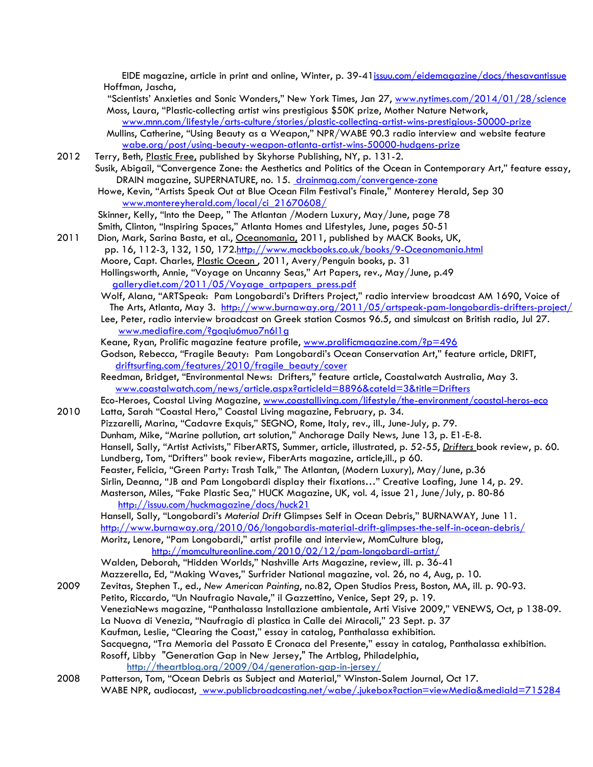EIDE magazine, article in print and online, Winter, p. 39-41issuu.com/eidemagazine/docs/thesavantissue Hoffman, Jascha,

"Scientists' Anxieties and Sonic Wonders," New York Times, Jan 27, www.nytimes.com/2014/01/28/science Moss, Laura, "Plastic-collecting artist wins prestigious \$50K prize, Mother Nature Network,

www.mnn.com/lifestyle/arts-culture/stories/plastic-collecting-artist-wins-prestigious-50000-prize Mullins, Catherine, "Using Beauty as a Weapon," NPR/WABE 90.3 radio interview and website feature wabe.org/post/using-beauty-weapon-atlanta-artist-wins-50000-hudgens-prize

2012 Terry, Beth, Plastic Free, published by Skyhorse Publishing, NY, p. 131-2.

 Susik, Abigail, "Convergence Zone: the Aesthetics and Politics of the Ocean in Contemporary Art," feature essay, DRAIN magazine, SUPERNATURE, no. 15. drainmag.com/convergence-zone

 Howe, Kevin, "Artists Speak Out at Blue Ocean Film Festival's Finale," Monterey Herald, Sep 30 www.montereyherald.com/local/ci\_21670608/

Skinner, Kelly, "Into the Deep, " The Atlantan /Modern Luxury, May/June, page 78

Smith, Clinton, "Inspiring Spaces," Atlanta Homes and Lifestyles, June, pages 50-51

2011 Dion, Mark, Sarina Basta, et al., Oceanomania, 2011, published by MACK Books, UK,

pp. 16, 112-3, 132, 150, 172.http://www.mackbooks.co.uk/books/9-Oceanomania.html Moore, Capt. Charles, Plastic Ocean, 2011, Avery/Penguin books, p. 31

 Hollingsworth, Annie, "Voyage on Uncanny Seas," Art Papers, rev., May/June, p.49 gallerydiet.com/2011/05/Voyage\_artpapers\_press.pdf

 Wolf, Alana, "ARTSpeak: Pam Longobardi's Drifters Project," radio interview broadcast AM 1690, Voice of The Arts, Atlanta, May 3. http://www.burnaway.org/2011/05/artspeak-pam-longobardis-drifters-project/

 Lee, Peter, radio interview broadcast on Greek station Cosmos 96.5, and simulcast on British radio, Jul 27. www.mediafire.com/?goqiu6muo7n6l1g

Keane, Ryan, Prolific magazine feature profile, www.prolificmagazine.com/?p=496

 Godson, Rebecca, "Fragile Beauty: Pam Longobardi's Ocean Conservation Art," feature article, DRIFT, driftsurfing.com/features/2010/fragile\_beauty/cover

 Reedman, Bridget, "Environmental News: Drifters," feature article, Coastalwatch Australia, May 3. www.coastalwatch.com/news/article.aspx?articleId=8896&cateId=3&title=Drifters

 Eco-Heroes, Coastal Living Magazine, www.coastalliving.com/lifestyle/the-environment/coastal-heros-eco 2010 Latta, Sarah "Coastal Hero," Coastal Living magazine, February, p. 34.

 Pizzarelli, Marina, "Cadavre Exquis," SEGNO, Rome, Italy, rev., ill., June-July, p. 79. Dunham, Mike, "Marine pollution, art solution," Anchorage Daily News, June 13, p. E1-E-8. Hansell, Sally, "Artist Activists," FiberARTS, Summer, article, illustrated, p. 52-55, *Drifters* book review, p. 60. Lundberg, Tom, "Drifters" book review, FiberArts magazine, article,ill., p 60. Feaster, Felicia, "Green Party: Trash Talk," The Atlantan, (Modern Luxury), May/June, p.36 Sirlin, Deanna, "JB and Pam Longobardi display their fixations…" Creative Loafing, June 14, p. 29. Masterson, Miles, "Fake Plastic Sea," HUCK Magazine, UK, vol. 4, issue 21, June/July, p. 80-86 http://issuu.com/huckmagazine/docs/huck21

 Hansell, Sally, "Longobardi's *Material Drift* Glimpses Self in Ocean Debris," BURNAWAY, June 11. http://www.burnaway.org/2010/06/longobardis-material-drift-glimpses-the-self-in-ocean-debris/ Moritz, Lenore, "Pam Longobardi," artist profile and interview, MomCulture blog,

http://momcultureonline.com/2010/02/12/pam-longobardi-artist/

 Walden, Deborah, "Hidden Worlds," Nashville Arts Magazine, review, ill. p. 36-41 Mazzerella, Ed, "Making Waves," Surfrider National magazine, vol. 26, no 4, Aug, p. 10.

2009 Zevitas, Stephen T., ed., *New American Painting*, no.82, Open Studios Press, Boston, MA, ill. p. 90-93.

Petito, Riccardo, "Un Naufragio Navale," il Gazzettino, Venice, Sept 29, p. 19.

VeneziaNews magazine, "Panthalassa Installazione ambientale, Arti Visive 2009," VENEWS, Oct, p 138-09.

La Nuova di Venezia, "Naufragio di plastica in Calle dei Miracoli," 23 Sept. p. 37

Kaufman, Leslie, "Clearing the Coast," essay in catalog, Panthalassa exhibition.

 Sacquegna, "Tra Memoria del Passato E Cronaca del Presente," essay in catalog, Panthalassa exhibition. Rosoff, Libby "Generation Gap in New Jersey," The Artblog, Philadelphia,

http://theartblog.org/2009/04/generation-gap-in-jersey/

2008 Patterson, Tom, "Ocean Debris as Subject and Material," Winston-Salem Journal, Oct 17. WABE NPR, audiocast, www.publicbroadcasting.net/wabe/.jukebox?action=viewMedia&mediaId=715284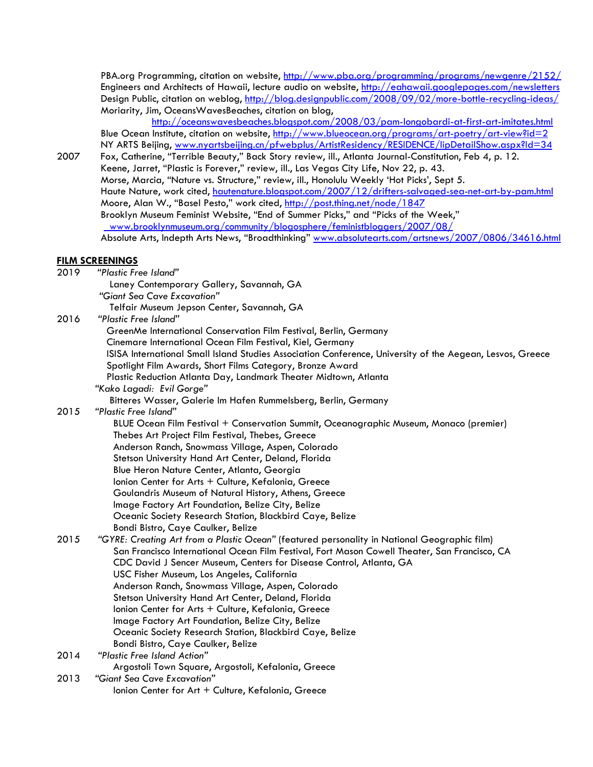PBA.org Programming, citation on website, http://www.pba.org/programming/programs/newgenre/2152/ Engineers and Architects of Hawaii, lecture audio on website, http://eahawaii.googlepages.com/newsletters Design Public, citation on weblog, http://blog.designpublic.com/2008/09/02/more-bottle-recycling-ideas/ Moriarity, Jim, OceansWavesBeaches, citation on blog,

http://oceanswavesbeaches.blogspot.com/2008/03/pam-longobardi-at-first-art-imitates.html Blue Ocean Institute, citation on website, http://www.blueocean.org/programs/art-poetry/art-view?id=2 NY ARTS Beijing, www.nyartsbeijing.cn/pfwebplus/ArtistResidency/RESIDENCE/lipDetailShow.aspx?Id=34

2007 Fox, Catherine, "Terrible Beauty," Back Story review, ill., Atlanta Journal-Constitution, Feb 4, p. 12. Keene, Jarret, "Plastic is Forever," review, ill., Las Vegas City Life, Nov 22, p. 43. Morse, Marcia, "Nature vs. Structure," review, ill., Honolulu Weekly 'Hot Picks', Sept 5. Haute Nature, work cited, hautenature.blogspot.com/2007/12/drifters-salvaged-sea-net-art-by-pam.html Moore, Alan W., "Basel Pesto," work cited, http://post.thing.net/node/1847 Brooklyn Museum Feminist Website, "End of Summer Picks," and "Picks of the Week," www.brooklynmuseum.org/community/blogosphere/feministbloggers/2007/08/ Absolute Arts, Indepth Arts News, "Broadthinking" www.absolutearts.com/artsnews/2007/0806/34616.html

## **FILM SCREENINGS**

| 2019 | "Plastic Free Island"                                                                                     |
|------|-----------------------------------------------------------------------------------------------------------|
|      | Laney Contemporary Gallery, Savannah, GA                                                                  |
|      | "Giant Sea Cave Excavation"                                                                               |
|      | Telfair Museum Jepson Center, Savannah, GA                                                                |
| 2016 | "Plastic Free Island"                                                                                     |
|      | GreenMe International Conservation Film Festival, Berlin, Germany                                         |
|      | Cinemare International Ocean Film Festival, Kiel, Germany                                                 |
|      | ISISA International Small Island Studies Association Conference, University of the Aegean, Lesvos, Greece |
|      | Spotlight Film Awards, Short Films Category, Bronze Award                                                 |
|      | Plastic Reduction Atlanta Day, Landmark Theater Midtown, Atlanta                                          |
|      | "Kako Lagadi: Evil Gorge"                                                                                 |
|      | Bitteres Wasser, Galerie Im Hafen Rummelsberg, Berlin, Germany                                            |
| 2015 | "Plastic Free Island"                                                                                     |
|      | BLUE Ocean Film Festival + Conservation Summit, Oceanographic Museum, Monaco (premier)                    |
|      | Thebes Art Project Film Festival, Thebes, Greece                                                          |
|      | Anderson Ranch, Snowmass Village, Aspen, Colorado                                                         |
|      | Stetson University Hand Art Center, Deland, Florida                                                       |
|      | Blue Heron Nature Center, Atlanta, Georgia                                                                |
|      | Ionion Center for Arts + Culture, Kefalonia, Greece                                                       |
|      | Goulandris Museum of Natural History, Athens, Greece                                                      |
|      | Image Factory Art Foundation, Belize City, Belize                                                         |
|      | Oceanic Society Research Station, Blackbird Caye, Belize                                                  |
|      | Bondi Bistro, Caye Caulker, Belize                                                                        |
| 2015 | "GYRE: Creating Art from a Plastic Ocean" (featured personality in National Geographic film)              |
|      | San Francisco International Ocean Film Festival, Fort Mason Cowell Theater, San Francisco, CA             |
|      | CDC David J Sencer Museum, Centers for Disease Control, Atlanta, GA                                       |
|      | USC Fisher Museum, Los Angeles, California                                                                |
|      | Anderson Ranch, Snowmass Village, Aspen, Colorado                                                         |
|      | Stetson University Hand Art Center, Deland, Florida                                                       |
|      | Ionion Center for Arts + Culture, Kefalonia, Greece                                                       |
|      | Image Factory Art Foundation, Belize City, Belize                                                         |
|      | Oceanic Society Research Station, Blackbird Caye, Belize                                                  |
|      | Bondi Bistro, Caye Caulker, Belize                                                                        |
| 2014 | "Plastic Free Island Action"                                                                              |
|      | Argostoli Town Square, Argostoli, Kefalonia, Greece                                                       |
| 2013 | "Giant Sea Cave Excavation"                                                                               |
|      | Ionion Center for Art + Culture, Kefalonia, Greece                                                        |